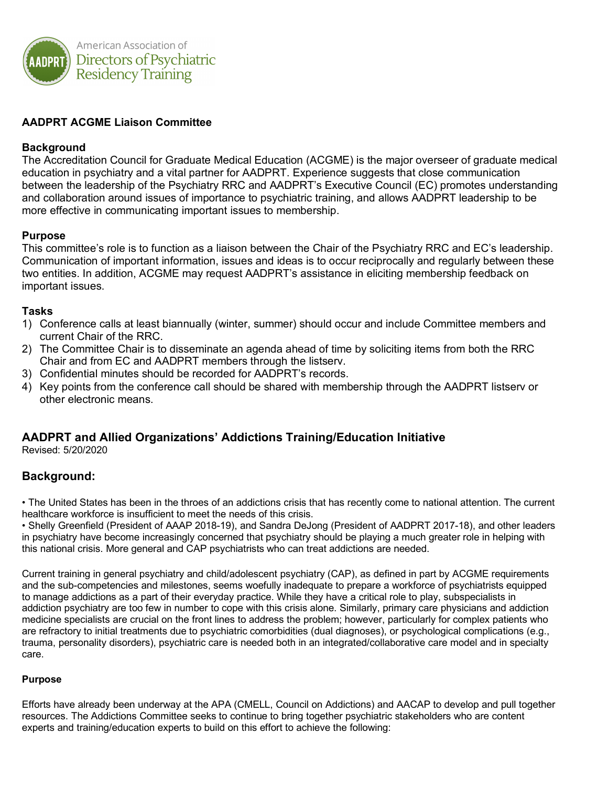

## **AADPRT ACGME Liaison Committee**

#### **Background**

The Accreditation Council for Graduate Medical Education (ACGME) is the major overseer of graduate medical education in psychiatry and a vital partner for AADPRT. Experience suggests that close communication between the leadership of the Psychiatry RRC and AADPRT's Executive Council (EC) promotes understanding and collaboration around issues of importance to psychiatric training, and allows AADPRT leadership to be more effective in communicating important issues to membership.

#### **Purpose**

This committee's role is to function as a liaison between the Chair of the Psychiatry RRC and EC's leadership. Communication of important information, issues and ideas is to occur reciprocally and regularly between these two entities. In addition, ACGME may request AADPRT's assistance in eliciting membership feedback on important issues.

#### **Tasks**

- 1) Conference calls at least biannually (winter, summer) should occur and include Committee members and current Chair of the RRC.
- 2) The Committee Chair is to disseminate an agenda ahead of time by soliciting items from both the RRC Chair and from EC and AADPRT members through the listserv.
- 3) Confidential minutes should be recorded for AADPRT's records.
- 4) Key points from the conference call should be shared with membership through the AADPRT listserv or other electronic means.

# **AADPRT and Allied Organizations' Addictions Training/Education Initiative**

Revised: 5/20/2020

# **Background:**

• The United States has been in the throes of an addictions crisis that has recently come to national attention. The current healthcare workforce is insufficient to meet the needs of this crisis.

• Shelly Greenfield (President of AAAP 2018-19), and Sandra DeJong (President of AADPRT 2017-18), and other leaders in psychiatry have become increasingly concerned that psychiatry should be playing a much greater role in helping with this national crisis. More general and CAP psychiatrists who can treat addictions are needed.

Current training in general psychiatry and child/adolescent psychiatry (CAP), as defined in part by ACGME requirements and the sub-competencies and milestones, seems woefully inadequate to prepare a workforce of psychiatrists equipped to manage addictions as a part of their everyday practice. While they have a critical role to play, subspecialists in addiction psychiatry are too few in number to cope with this crisis alone. Similarly, primary care physicians and addiction medicine specialists are crucial on the front lines to address the problem; however, particularly for complex patients who are refractory to initial treatments due to psychiatric comorbidities (dual diagnoses), or psychological complications (e.g., trauma, personality disorders), psychiatric care is needed both in an integrated/collaborative care model and in specialty care.

#### **Purpose**

Efforts have already been underway at the APA (CMELL, Council on Addictions) and AACAP to develop and pull together resources. The Addictions Committee seeks to continue to bring together psychiatric stakeholders who are content experts and training/education experts to build on this effort to achieve the following: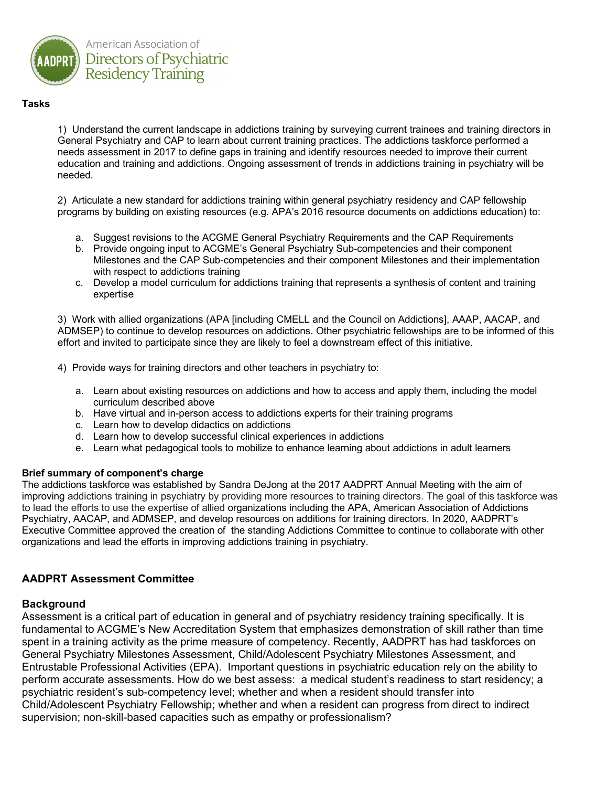

#### **Tasks**

1) Understand the current landscape in addictions training by surveying current trainees and training directors in General Psychiatry and CAP to learn about current training practices. The addictions taskforce performed a needs assessment in 2017 to define gaps in training and identify resources needed to improve their current education and training and addictions. Ongoing assessment of trends in addictions training in psychiatry will be needed.

2) Articulate a new standard for addictions training within general psychiatry residency and CAP fellowship programs by building on existing resources (e.g. APA's 2016 resource documents on addictions education) to:

- a. Suggest revisions to the ACGME General Psychiatry Requirements and the CAP Requirements
- b. Provide ongoing input to ACGME's General Psychiatry Sub-competencies and their component Milestones and the CAP Sub-competencies and their component Milestones and their implementation with respect to addictions training
- c. Develop a model curriculum for addictions training that represents a synthesis of content and training expertise

3) Work with allied organizations (APA [including CMELL and the Council on Addictions], AAAP, AACAP, and ADMSEP) to continue to develop resources on addictions. Other psychiatric fellowships are to be informed of this effort and invited to participate since they are likely to feel a downstream effect of this initiative.

4) Provide ways for training directors and other teachers in psychiatry to:

- a. Learn about existing resources on addictions and how to access and apply them, including the model curriculum described above
- b. Have virtual and in-person access to addictions experts for their training programs
- c. Learn how to develop didactics on addictions
- d. Learn how to develop successful clinical experiences in addictions
- e. Learn what pedagogical tools to mobilize to enhance learning about addictions in adult learners

#### **Brief summary of component's charge**

The addictions taskforce was established by Sandra DeJong at the 2017 AADPRT Annual Meeting with the aim of improving addictions training in psychiatry by providing more resources to training directors. The goal of this taskforce was to lead the efforts to use the expertise of allied organizations including the APA, American Association of Addictions Psychiatry, AACAP, and ADMSEP, and develop resources on additions for training directors. In 2020, AADPRT's Executive Committee approved the creation of the standing Addictions Committee to continue to collaborate with other organizations and lead the efforts in improving addictions training in psychiatry.

#### **AADPRT Assessment Committee**

#### **Background**

Assessment is a critical part of education in general and of psychiatry residency training specifically. It is fundamental to ACGME's New Accreditation System that emphasizes demonstration of skill rather than time spent in a training activity as the prime measure of competency. Recently, AADPRT has had taskforces on General Psychiatry Milestones Assessment, Child/Adolescent Psychiatry Milestones Assessment, and Entrustable Professional Activities (EPA). Important questions in psychiatric education rely on the ability to perform accurate assessments. How do we best assess: a medical student's readiness to start residency; a psychiatric resident's sub-competency level; whether and when a resident should transfer into Child/Adolescent Psychiatry Fellowship; whether and when a resident can progress from direct to indirect supervision; non-skill-based capacities such as empathy or professionalism?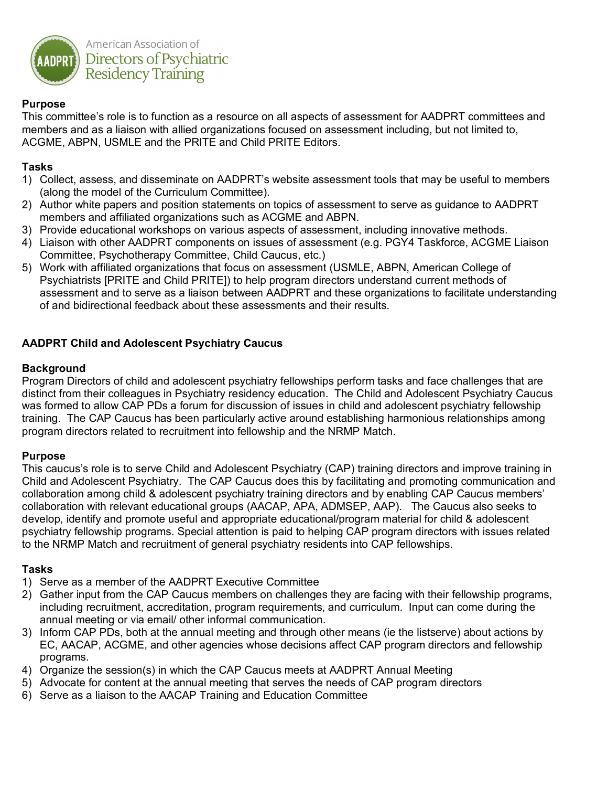

# **Purpose**

This committee's role is to function as a resource on all aspects of assessment for AADPRT committees and members and as a liaison with allied organizations focused on assessment including, but not limited to, ACGME, ABPN, USMLE and the PRITE and Child PRITE Editors.

## **Tasks**

- 1) Collect, assess, and disseminate on AADPRT's website assessment tools that may be useful to members (along the model of the Curriculum Committee).
- 2) Author white papers and position statements on topics of assessment to serve as guidance to AADPRT members and affiliated organizations such as ACGME and ABPN.
- 3) Provide educational workshops on various aspects of assessment, including innovative methods.
- 4) Liaison with other AADPRT components on issues of assessment (e.g. PGY4 Taskforce, ACGME Liaison Committee, Psychotherapy Committee, Child Caucus, etc.)
- 5) Work with affiliated organizations that focus on assessment (USMLE, ABPN, American College of Psychiatrists [PRITE and Child PRITE]) to help program directors understand current methods of assessment and to serve as a liaison between AADPRT and these organizations to facilitate understanding of and bidirectional feedback about these assessments and their results.

# **AADPRT Child and Adolescent Psychiatry Caucus**

#### **Background**

Program Directors of child and adolescent psychiatry fellowships perform tasks and face challenges that are distinct from their colleagues in Psychiatry residency education. The Child and Adolescent Psychiatry Caucus was formed to allow CAP PDs a forum for discussion of issues in child and adolescent psychiatry fellowship training. The CAP Caucus has been particularly active around establishing harmonious relationships among program directors related to recruitment into fellowship and the NRMP Match.

#### **Purpose**

This caucus's role is to serve Child and Adolescent Psychiatry (CAP) training directors and improve training in Child and Adolescent Psychiatry. The CAP Caucus does this by facilitating and promoting communication and collaboration among child & adolescent psychiatry training directors and by enabling CAP Caucus members' collaboration with relevant educational groups (AACAP, APA, ADMSEP, AAP). The Caucus also seeks to develop, identify and promote useful and appropriate educational/program material for child & adolescent psychiatry fellowship programs. Special attention is paid to helping CAP program directors with issues related to the NRMP Match and recruitment of general psychiatry residents into CAP fellowships.

- 1) Serve as a member of the AADPRT Executive Committee
- 2) Gather input from the CAP Caucus members on challenges they are facing with their fellowship programs, including recruitment, accreditation, program requirements, and curriculum. Input can come during the annual meeting or via email/ other informal communication.
- 3) Inform CAP PDs, both at the annual meeting and through other means (ie the listserve) about actions by EC, AACAP, ACGME, and other agencies whose decisions affect CAP program directors and fellowship programs.
- 4) Organize the session(s) in which the CAP Caucus meets at AADPRT Annual Meeting
- 5) Advocate for content at the annual meeting that serves the needs of CAP program directors
- 6) Serve as a liaison to the AACAP Training and Education Committee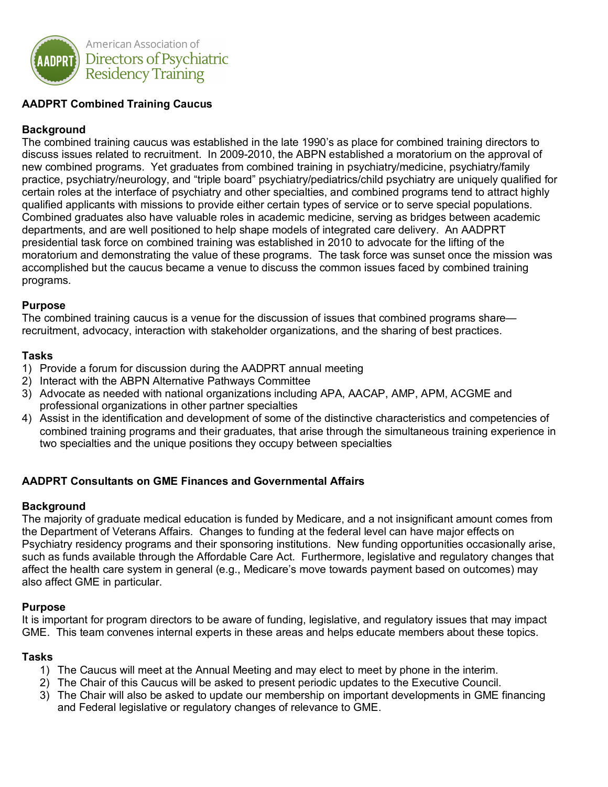

# **AADPRT Combined Training Caucus**

# **Background**

The combined training caucus was established in the late 1990's as place for combined training directors to discuss issues related to recruitment. In 2009-2010, the ABPN established a moratorium on the approval of new combined programs. Yet graduates from combined training in psychiatry/medicine, psychiatry/family practice, psychiatry/neurology, and "triple board" psychiatry/pediatrics/child psychiatry are uniquely qualified for certain roles at the interface of psychiatry and other specialties, and combined programs tend to attract highly qualified applicants with missions to provide either certain types of service or to serve special populations. Combined graduates also have valuable roles in academic medicine, serving as bridges between academic departments, and are well positioned to help shape models of integrated care delivery. An AADPRT presidential task force on combined training was established in 2010 to advocate for the lifting of the moratorium and demonstrating the value of these programs. The task force was sunset once the mission was accomplished but the caucus became a venue to discuss the common issues faced by combined training programs.

#### **Purpose**

The combined training caucus is a venue for the discussion of issues that combined programs share recruitment, advocacy, interaction with stakeholder organizations, and the sharing of best practices.

#### **Tasks**

- 1) Provide a forum for discussion during the AADPRT annual meeting
- 2) Interact with the ABPN Alternative Pathways Committee
- 3) Advocate as needed with national organizations including APA, AACAP, AMP, APM, ACGME and professional organizations in other partner specialties
- 4) Assist in the identification and development of some of the distinctive characteristics and competencies of combined training programs and their graduates, that arise through the simultaneous training experience in two specialties and the unique positions they occupy between specialties

#### **AADPRT Consultants on GME Finances and Governmental Affairs**

#### **Background**

The majority of graduate medical education is funded by Medicare, and a not insignificant amount comes from the Department of Veterans Affairs. Changes to funding at the federal level can have major effects on Psychiatry residency programs and their sponsoring institutions. New funding opportunities occasionally arise, such as funds available through the Affordable Care Act. Furthermore, legislative and regulatory changes that affect the health care system in general (e.g., Medicare's move towards payment based on outcomes) may also affect GME in particular.

#### **Purpose**

It is important for program directors to be aware of funding, legislative, and regulatory issues that may impact GME. This team convenes internal experts in these areas and helps educate members about these topics.

- 1) The Caucus will meet at the Annual Meeting and may elect to meet by phone in the interim.
- 2) The Chair of this Caucus will be asked to present periodic updates to the Executive Council.
- 3) The Chair will also be asked to update our membership on important developments in GME financing and Federal legislative or regulatory changes of relevance to GME.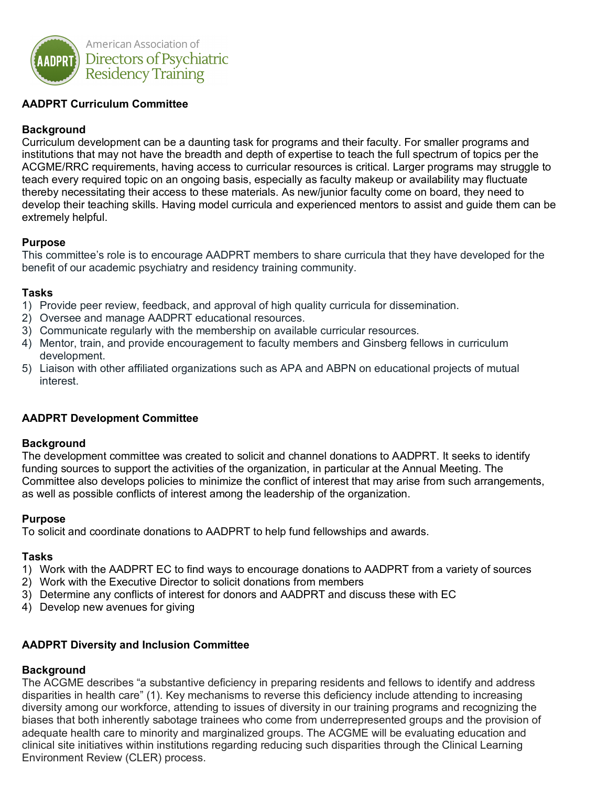

# **AADPRT Curriculum Committee**

# **Background**

Curriculum development can be a daunting task for programs and their faculty. For smaller programs and institutions that may not have the breadth and depth of expertise to teach the full spectrum of topics per the ACGME/RRC requirements, having access to curricular resources is critical. Larger programs may struggle to teach every required topic on an ongoing basis, especially as faculty makeup or availability may fluctuate thereby necessitating their access to these materials. As new/junior faculty come on board, they need to develop their teaching skills. Having model curricula and experienced mentors to assist and guide them can be extremely helpful.

## **Purpose**

This committee's role is to encourage AADPRT members to share curricula that they have developed for the benefit of our academic psychiatry and residency training community.

## **Tasks**

- 1) Provide peer review, feedback, and approval of high quality curricula for dissemination.
- 2) Oversee and manage AADPRT educational resources.
- 3) Communicate regularly with the membership on available curricular resources.
- 4) Mentor, train, and provide encouragement to faculty members and Ginsberg fellows in curriculum development.
- 5) Liaison with other affiliated organizations such as APA and ABPN on educational projects of mutual interest.

# **AADPRT Development Committee**

#### **Background**

The development committee was created to solicit and channel donations to AADPRT. It seeks to identify funding sources to support the activities of the organization, in particular at the Annual Meeting. The Committee also develops policies to minimize the conflict of interest that may arise from such arrangements, as well as possible conflicts of interest among the leadership of the organization.

#### **Purpose**

To solicit and coordinate donations to AADPRT to help fund fellowships and awards.

#### **Tasks**

- 1) Work with the AADPRT EC to find ways to encourage donations to AADPRT from a variety of sources
- 2) Work with the Executive Director to solicit donations from members
- 3) Determine any conflicts of interest for donors and AADPRT and discuss these with EC
- 4) Develop new avenues for giving

#### **AADPRT Diversity and Inclusion Committee**

#### **Background**

The ACGME describes "a substantive deficiency in preparing residents and fellows to identify and address disparities in health care" (1). Key mechanisms to reverse this deficiency include attending to increasing diversity among our workforce, attending to issues of diversity in our training programs and recognizing the biases that both inherently sabotage trainees who come from underrepresented groups and the provision of adequate health care to minority and marginalized groups. The ACGME will be evaluating education and clinical site initiatives within institutions regarding reducing such disparities through the Clinical Learning Environment Review (CLER) process.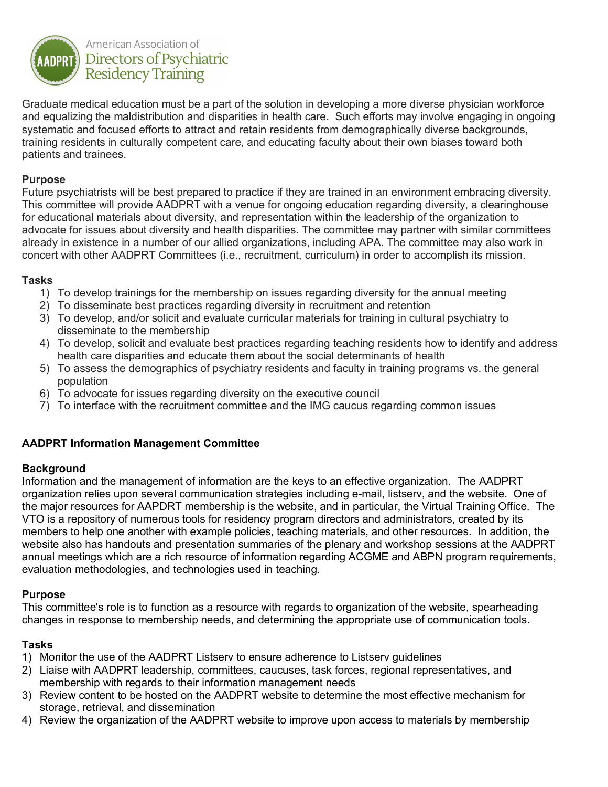

Graduate medical education must be a part of the solution in developing a more diverse physician workforce and equalizing the maldistribution and disparities in health care. Such efforts may involve engaging in ongoing systematic and focused efforts to attract and retain residents from demographically diverse backgrounds, training residents in culturally competent care, and educating faculty about their own biases toward both patients and trainees.

## **Purpose**

Future psychiatrists will be best prepared to practice if they are trained in an environment embracing diversity. This committee will provide AADPRT with a venue for ongoing education regarding diversity, a clearinghouse for educational materials about diversity, and representation within the leadership of the organization to advocate for issues about diversity and health disparities. The committee may partner with similar committees already in existence in a number of our allied organizations, including APA. The committee may also work in concert with other AADPRT Committees (i.e., recruitment, curriculum) in order to accomplish its mission.

#### **Tasks**

- 1) To develop trainings for the membership on issues regarding diversity for the annual meeting
- 2) To disseminate best practices regarding diversity in recruitment and retention
- 3) To develop, and/or solicit and evaluate curricular materials for training in cultural psychiatry to disseminate to the membership
- 4) To develop, solicit and evaluate best practices regarding teaching residents how to identify and address health care disparities and educate them about the social determinants of health
- 5) To assess the demographics of psychiatry residents and faculty in training programs vs. the general population
- 6) To advocate for issues regarding diversity on the executive council
- 7) To interface with the recruitment committee and the IMG caucus regarding common issues

# **AADPRT Information Management Committee**

#### **Background**

Information and the management of information are the keys to an effective organization. The AADPRT organization relies upon several communication strategies including e-mail, listserv, and the website. One of the major resources for AAPDRT membership is the website, and in particular, the Virtual Training Office. The VTO is a repository of numerous tools for residency program directors and administrators, created by its members to help one another with example policies, teaching materials, and other resources. In addition, the website also has handouts and presentation summaries of the plenary and workshop sessions at the AADPRT annual meetings which are a rich resource of information regarding ACGME and ABPN program requirements, evaluation methodologies, and technologies used in teaching.

#### **Purpose**

This committee's role is to function as a resource with regards to organization of the website, spearheading changes in response to membership needs, and determining the appropriate use of communication tools.

- 1) Monitor the use of the AADPRT Listserv to ensure adherence to Listserv guidelines
- 2) Liaise with AADPRT leadership, committees, caucuses, task forces, regional representatives, and membership with regards to their information management needs
- 3) Review content to be hosted on the AADPRT website to determine the most effective mechanism for storage, retrieval, and dissemination
- 4) Review the organization of the AADPRT website to improve upon access to materials by membership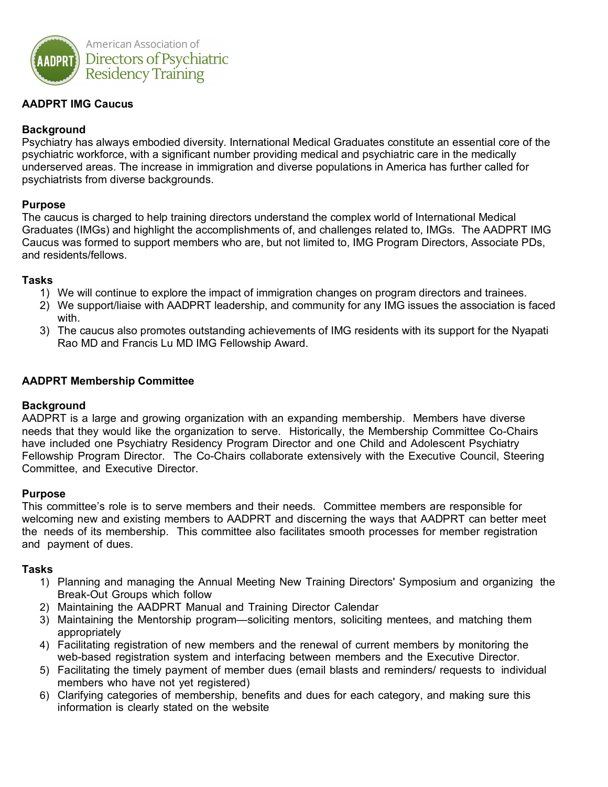

# **AADPRT IMG Caucus**

## **Background**

Psychiatry has always embodied diversity. International Medical Graduates constitute an essential core of the psychiatric workforce, with a significant number providing medical and psychiatric care in the medically underserved areas. The increase in immigration and diverse populations in America has further called for psychiatrists from diverse backgrounds.

#### **Purpose**

The caucus is charged to help training directors understand the complex world of International Medical Graduates (IMGs) and highlight the accomplishments of, and challenges related to, IMGs. The AADPRT IMG Caucus was formed to support members who are, but not limited to, IMG Program Directors, Associate PDs, and residents/fellows.

#### **Tasks**

- 1) We will continue to explore the impact of immigration changes on program directors and trainees.
- 2) We support/liaise with AADPRT leadership, and community for any IMG issues the association is faced with.
- 3) The caucus also promotes outstanding achievements of IMG residents with its support for the Nyapati Rao MD and Francis Lu MD IMG Fellowship Award.

#### **AADPRT Membership Committee**

#### **Background**

AADPRT is a large and growing organization with an expanding membership. Members have diverse needs that they would like the organization to serve. Historically, the Membership Committee Co-Chairs have included one Psychiatry Residency Program Director and one Child and Adolescent Psychiatry Fellowship Program Director. The Co-Chairs collaborate extensively with the Executive Council, Steering Committee, and Executive Director.

#### **Purpose**

This committee's role is to serve members and their needs. Committee members are responsible for welcoming new and existing members to AADPRT and discerning the ways that AADPRT can better meet the needs of its membership. This committee also facilitates smooth processes for member registration and payment of dues.

- 1) Planning and managing the Annual Meeting New Training Directors' Symposium and organizing the Break-Out Groups which follow
- 2) Maintaining the AADPRT Manual and Training Director Calendar
- 3) Maintaining the Mentorship program—soliciting mentors, soliciting mentees, and matching them appropriately
- 4) Facilitating registration of new members and the renewal of current members by monitoring the web-based registration system and interfacing between members and the Executive Director.
- 5) Facilitating the timely payment of member dues (email blasts and reminders/ requests to individual members who have not yet registered)
- 6) Clarifying categories of membership, benefits and dues for each category, and making sure this information is clearly stated on the website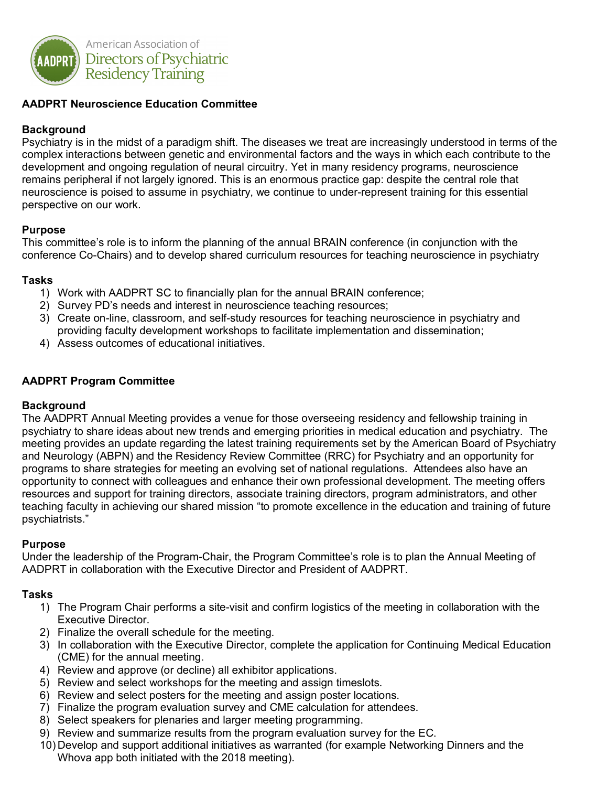

## **AADPRT Neuroscience Education Committee**

## **Background**

Psychiatry is in the midst of a paradigm shift. The diseases we treat are increasingly understood in terms of the complex interactions between genetic and environmental factors and the ways in which each contribute to the development and ongoing regulation of neural circuitry. Yet in many residency programs, neuroscience remains peripheral if not largely ignored. This is an enormous practice gap: despite the central role that neuroscience is poised to assume in psychiatry, we continue to under-represent training for this essential perspective on our work.

#### **Purpose**

This committee's role is to inform the planning of the annual BRAIN conference (in conjunction with the conference Co-Chairs) and to develop shared curriculum resources for teaching neuroscience in psychiatry

#### **Tasks**

- 1) Work with AADPRT SC to financially plan for the annual BRAIN conference;
- 2) Survey PD's needs and interest in neuroscience teaching resources;
- 3) Create on-line, classroom, and self-study resources for teaching neuroscience in psychiatry and providing faculty development workshops to facilitate implementation and dissemination;
- 4) Assess outcomes of educational initiatives.

## **AADPRT Program Committee**

#### **Background**

The AADPRT Annual Meeting provides a venue for those overseeing residency and fellowship training in psychiatry to share ideas about new trends and emerging priorities in medical education and psychiatry. The meeting provides an update regarding the latest training requirements set by the American Board of Psychiatry and Neurology (ABPN) and the Residency Review Committee (RRC) for Psychiatry and an opportunity for programs to share strategies for meeting an evolving set of national regulations. Attendees also have an opportunity to connect with colleagues and enhance their own professional development. The meeting offers resources and support for training directors, associate training directors, program administrators, and other teaching faculty in achieving our shared mission "to promote excellence in the education and training of future psychiatrists."

#### **Purpose**

Under the leadership of the Program-Chair, the Program Committee's role is to plan the Annual Meeting of AADPRT in collaboration with the Executive Director and President of AADPRT.

- 1) The Program Chair performs a site-visit and confirm logistics of the meeting in collaboration with the Executive Director.
- 2) Finalize the overall schedule for the meeting.
- 3) In collaboration with the Executive Director, complete the application for Continuing Medical Education (CME) for the annual meeting.
- 4) Review and approve (or decline) all exhibitor applications.
- 5) Review and select workshops for the meeting and assign timeslots.
- 6) Review and select posters for the meeting and assign poster locations.
- 7) Finalize the program evaluation survey and CME calculation for attendees.
- 8) Select speakers for plenaries and larger meeting programming.
- 9) Review and summarize results from the program evaluation survey for the EC.
- 10) Develop and support additional initiatives as warranted (for example Networking Dinners and the Whova app both initiated with the 2018 meeting).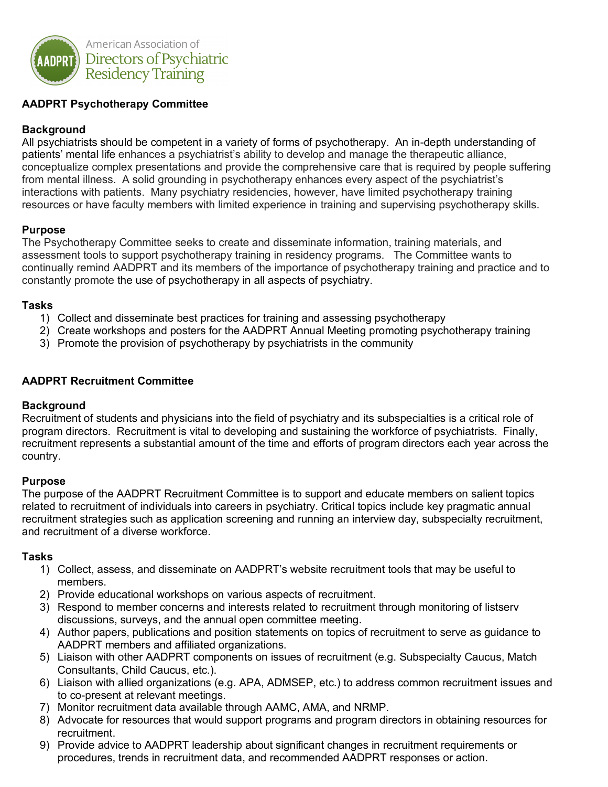

# **AADPRT Psychotherapy Committee**

## **Background**

All psychiatrists should be competent in a variety of forms of psychotherapy. An in-depth understanding of patients' mental life enhances a psychiatrist's ability to develop and manage the therapeutic alliance, conceptualize complex presentations and provide the comprehensive care that is required by people suffering from mental illness. A solid grounding in psychotherapy enhances every aspect of the psychiatrist's interactions with patients. Many psychiatry residencies, however, have limited psychotherapy training resources or have faculty members with limited experience in training and supervising psychotherapy skills.

## **Purpose**

The Psychotherapy Committee seeks to create and disseminate information, training materials, and assessment tools to support psychotherapy training in residency programs. The Committee wants to continually remind AADPRT and its members of the importance of psychotherapy training and practice and to constantly promote the use of psychotherapy in all aspects of psychiatry.

#### **Tasks**

- 1) Collect and disseminate best practices for training and assessing psychotherapy
- 2) Create workshops and posters for the AADPRT Annual Meeting promoting psychotherapy training
- 3) Promote the provision of psychotherapy by psychiatrists in the community

## **AADPRT Recruitment Committee**

#### **Background**

Recruitment of students and physicians into the field of psychiatry and its subspecialties is a critical role of program directors. Recruitment is vital to developing and sustaining the workforce of psychiatrists. Finally, recruitment represents a substantial amount of the time and efforts of program directors each year across the country.

#### **Purpose**

The purpose of the AADPRT Recruitment Committee is to support and educate members on salient topics related to recruitment of individuals into careers in psychiatry. Critical topics include key pragmatic annual recruitment strategies such as application screening and running an interview day, subspecialty recruitment, and recruitment of a diverse workforce.

- 1) Collect, assess, and disseminate on AADPRT's website recruitment tools that may be useful to members.
- 2) Provide educational workshops on various aspects of recruitment.
- 3) Respond to member concerns and interests related to recruitment through monitoring of listserv discussions, surveys, and the annual open committee meeting.
- 4) Author papers, publications and position statements on topics of recruitment to serve as guidance to AADPRT members and affiliated organizations.
- 5) Liaison with other AADPRT components on issues of recruitment (e.g. Subspecialty Caucus, Match Consultants, Child Caucus, etc.).
- 6) Liaison with allied organizations (e.g. APA, ADMSEP, etc.) to address common recruitment issues and to co-present at relevant meetings.
- 7) Monitor recruitment data available through AAMC, AMA, and NRMP.
- 8) Advocate for resources that would support programs and program directors in obtaining resources for recruitment.
- 9) Provide advice to AADPRT leadership about significant changes in recruitment requirements or procedures, trends in recruitment data, and recommended AADPRT responses or action.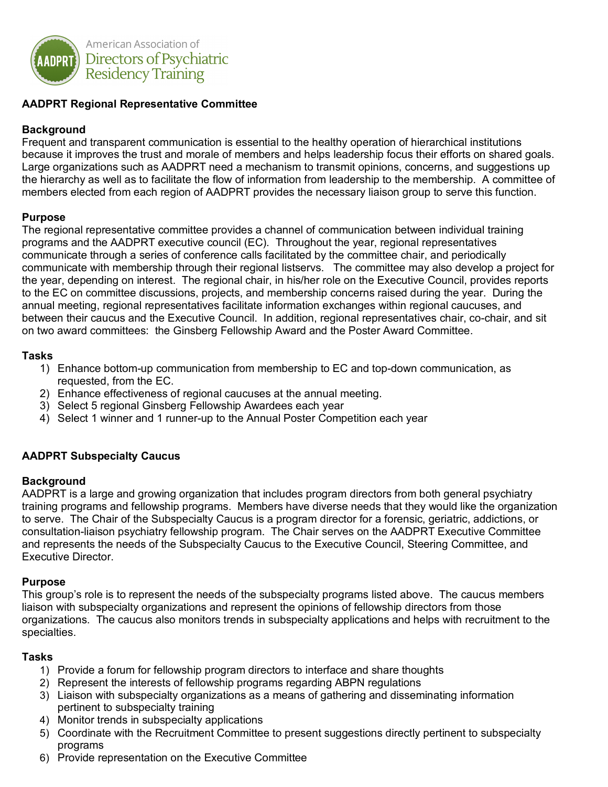

## **AADPRT Regional Representative Committee**

#### **Background**

Frequent and transparent communication is essential to the healthy operation of hierarchical institutions because it improves the trust and morale of members and helps leadership focus their efforts on shared goals. Large organizations such as AADPRT need a mechanism to transmit opinions, concerns, and suggestions up the hierarchy as well as to facilitate the flow of information from leadership to the membership. A committee of members elected from each region of AADPRT provides the necessary liaison group to serve this function.

#### **Purpose**

The regional representative committee provides a channel of communication between individual training programs and the AADPRT executive council (EC). Throughout the year, regional representatives communicate through a series of conference calls facilitated by the committee chair, and periodically communicate with membership through their regional listservs. The committee may also develop a project for the year, depending on interest. The regional chair, in his/her role on the Executive Council, provides reports to the EC on committee discussions, projects, and membership concerns raised during the year. During the annual meeting, regional representatives facilitate information exchanges within regional caucuses, and between their caucus and the Executive Council. In addition, regional representatives chair, co-chair, and sit on two award committees: the Ginsberg Fellowship Award and the Poster Award Committee.

#### **Tasks**

- 1) Enhance bottom-up communication from membership to EC and top-down communication, as requested, from the EC.
- 2) Enhance effectiveness of regional caucuses at the annual meeting.
- 3) Select 5 regional Ginsberg Fellowship Awardees each year
- 4) Select 1 winner and 1 runner-up to the Annual Poster Competition each year

#### **AADPRT Subspecialty Caucus**

#### **Background**

AADPRT is a large and growing organization that includes program directors from both general psychiatry training programs and fellowship programs. Members have diverse needs that they would like the organization to serve. The Chair of the Subspecialty Caucus is a program director for a forensic, geriatric, addictions, or consultation-liaison psychiatry fellowship program. The Chair serves on the AADPRT Executive Committee and represents the needs of the Subspecialty Caucus to the Executive Council, Steering Committee, and Executive Director.

#### **Purpose**

This group's role is to represent the needs of the subspecialty programs listed above. The caucus members liaison with subspecialty organizations and represent the opinions of fellowship directors from those organizations. The caucus also monitors trends in subspecialty applications and helps with recruitment to the specialties.

- 1) Provide a forum for fellowship program directors to interface and share thoughts
- 2) Represent the interests of fellowship programs regarding ABPN regulations
- 3) Liaison with subspecialty organizations as a means of gathering and disseminating information pertinent to subspecialty training
- 4) Monitor trends in subspecialty applications
- 5) Coordinate with the Recruitment Committee to present suggestions directly pertinent to subspecialty programs
- 6) Provide representation on the Executive Committee